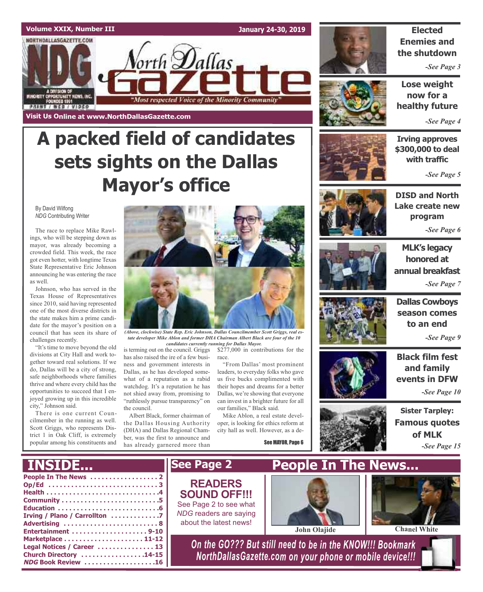### **Volume XXIX, Number III** NORTHDALLASGAZETTE.COM

**Visit Us Online at www.NorthDallasGazette.com**

**January 24-30, 2019**



### **Elected Enemies and the shutdown**

*-See Page 3*

**Lose weight now for a healthy future**

*-See Page 4*

# **A packed field of candidates sets sights on the Dallas Mayor's office**

orth **D**allas

"Most respected Voice of the Minority Community"

By David Wilfong *NDG* Contributing Writer

MINORITY OPPORTUNITY NEWS, INC.<br>FOUNDED 1991

**STRIA / REB / AIDEO** 

The race to replace Mike Rawlings, who will be stepping down as mayor, was already becoming a crowded field. This week, the race got even hotter, with longtime Texas State Representative Eric Johnson announcing he was entering the race as well.

Johnson, who has served in the Texas House of Representatives since 2010, said having represented one of the most diverse districts in the state makes him a prime candidate for the mayor's position on a council that has seen its share of challenges recently.

"It's time to move beyond the old divisions at City Hall and work together toward real solutions. If we do, Dallas will be a city of strong, safe neighborhoods where families thrive and where every child has the opportunities to succeed that I enjoyed growing up in this incredible city," Johnson said.

There is one current Councilmember in the running as well. Scott Griggs, who represents District 1 in Oak Cliff, is extremely popular among his constituents and



*(Above, clockwise) State Rep. Eric Johnson, Dallas Councilmember Scott Griggs, real estate developer Mike Ablon and former DHA Chairman Albert Black are four of the 10*

is terming out on the council. Griggs has also raised the ire of a few business and government interests in Dallas, as he has developed somewhat of a reputation as a rabid watchdog. It's a reputation he has not shied away from, promising to "ruthlessly pursue transparency" on the council.

Albert Black, former chairman of the Dallas Housing Authority (DHA) and Dallas Regional Chamber, was the first to announce and has already garnered more than





*candidates currently running for Dallas Mayor.*

\$277,000 in contributions for the race.

"From Dallas' most prominent leaders, to everyday folks who gave us five bucks complimented with their hopes and dreams for a better Dallas, we're showing that everyone can invest in a brighter future for all our families," Black said.

Mike Ablon, a real estate developer, is looking for ethics reform at city hall as well. However, as a de-

See MAYOR, Page 6



**Irving approves \$300,000 to deal with traffic**

*-See Page 5*



**DISD and North Lake create new program**

*-See Page 6*



**MLK's legacy honored at annual breakfast** *-See Page 7*



**Dallas Cowboys season comes to an end**

*-See Page 9*



**Black film fest and family**

**Famous quotes of MLK** *-See Page 15*

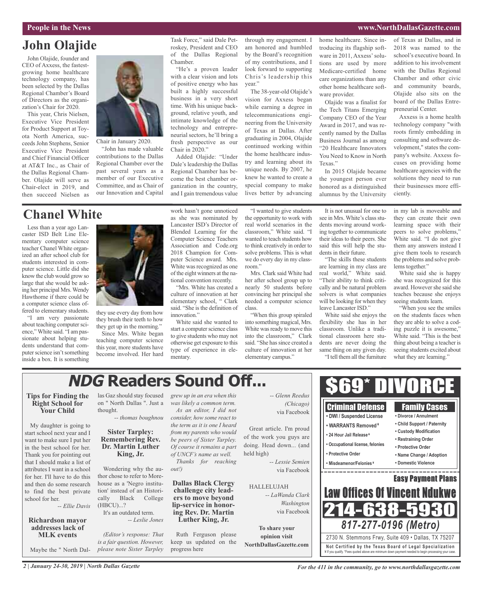#### **People in the News www.NorthDallasGazette.com**

# **John Olajide**

John Olajide, founder and CEO of Axxess, the fastestgrowing home healthcare technology company, has been selected by the Dallas Regional Chamber's Board of Directors as the organization's Chair for 2020.

This year, Chris Nielsen, Executive Vice President for Product Support at Toyota North America, succeeds John Stephens, Senior Executive Vice President and Chief Financial Officer at AT&T Inc., as Chair of the Dallas Regional Chamber. Olajide will serve as Chair-elect in 2019, and then succeed Nielsen as



Chair in January 2020. "John has made valuable contributions to the Dallas Regional Chamber over the past several years as a member of our Executive Committee, and as Chair of our Innovation and Capital

Task Force," said Dale Petroskey, President and CEO of the Dallas Regional Chamber.

"He's a proven leader with a clear vision and lots of positive energy who has built a highly successful business in a very short time. With his unique background, relative youth, and intimate knowledge of the technology and entrepreneurial sectors, he'll bring a fresh perspective as our Chair in 2020."

Added Olajide: "Under Dale's leadership the Dallas Regional Chamber has become the best chamber organization in the country, and I gain tremendous value

through my engagement. I am honored and humbled by the Board's recognition of my contributions, and I look forward to supporting Chris's leadership this year."

The 38-year-old Olajide's vision for Axxess began while earning a degree in telecommunications engineering from the University of Texas at Dallas. After graduating in 2004, Olajide continued working within the home healthcare industry and learning about its unique needs. By 2007, he knew he wanted to create a special company to make lives better by advancing

home healthcare. Since introducing its flagship software in 2011, Axxess' solutions are used by more Medicare-certified home care organizations than any other home healthcare software provider.

Olajide was a finalist for the Tech Titans Emerging Company CEO of the Year Award in 2017, and was recently named by the Dallas Business Journal as among "20 Healthcare Innovators You Need to Know in North Texas."

In 2015 Olajide became the youngest person ever honored as a distinguished alumnus by the University

of Texas at Dallas, and in 2018 was named to the school's executive board. In addition to his involvement with the Dallas Regional Chamber and other civic and community boards, Olajide also sits on the board of the Dallas Entrepreneurial Center.

Axxess is a home health technology company "with roots firmly embedding in consulting and software development," states the company's website. Axxess focuses on providing home healthcare agencies with the solutions they need to run their businesses more efficiently.

# **Chanel White**

Less than a year ago Lancaster ISD Belt Line Elementary computer science teacher Chanel White organized an after school club for students interested in computer science. Little did she know the club would grow so large that she would be asking her principal Mrs.Wendy Hawthorne if there could be a computer science class offered to elementary students.

"I am very passionate about teaching computer science,"White said. "I am passionate about helping students understand that computer science isn't something inside a box. It is something



they use every day from how they brush their teeth to how they get up in the morning."

Since Mrs. White began teaching computer science this year, more students have become involved. Her hard work hasn't gone unnoticed as she was nominated by Lancaster ISD's Director of Blended Learning for the Computer Science Teachers Association and Code.org 2018 Champion for Computer Science award. Mrs. White was recognized as one of the eight winners at the national convention recently.

"Mrs. White has created a culture of innovation at her elementary school, " Clark said. "She is the definition of innovation."

White said she wanted to start a computer science class to give students who may not otherwise get exposure to this type of experience in elementary.

"I wanted to give students the opportunity to work with real world scenarios in the classroom," White said. "I wanted to teach students how to think creatively in order to solve problems. This is what we do every day in my classroom."

Mrs. Clark said White had her after school group up to nearly 50 students before convincing her principal she needed a computer science class.

"When this group spiraled into something magical, Mrs. White was ready to move this into the classroom," Clark said. "She has since created a culture of innovation at her elementary campus."

It is not unusual for one to see in Mrs. White's class students moving around working together to communicate their ideas to their peers. She said this will help the students in their future.

"The skills these students are learning in my class are real world," White said. "Their ability to think critically and be natural problem solvers is what companies will be looking for when they leave Lancaster ISD."

White said she enjoys the flexibility she has in her classroom. Unlike a traditional classroom here students are never doing the same thing on any given day. "I tell them all the furniture

in my lab is moveable and they can create their own learning space with their peers to solve problems," White said. "I do not give them any answers instead I give them tools to research the problems and solve problems together."

White said she is happy she was recognized for this award. Howevershe said she teaches because she enjoys seeing students learn.

"When you see the smiles on the students faces when they are able to solve a coding puzzle it is awesome," White said. "This is the best thing about being a teacher is seeing students excited about what they are learning."

#### **NDG Readers Sound Off...**\$69\* DIVORCE **Tips for Finding the** las Gaz should stay focused *grew up in an era when this -- Glenn Reedus* **Right School for** on " North Dallas ". Just a *was likely a common term. (Chicago)* Criminal Defense Family Cases **Your Child** thought. *As an editor, I did not* via Facebook **• DWI / Suspended License • Divorce / Annulment** *-- thomas boughnou consider, how some react to* **• Child Support / Paternity** My daughter is going to *the term as it is one I heard* **• WARRANTS Removed ¥** Great article. I'm proud **• Custody Modification** start school next year and I **Sister Tarpley:** *from my parents who would* **• 24 Hour Jail Release ¥** of the work you guys are **Remembering Rev.** want to make sure I put her *be peers of Sister Tarpley.* **• Restraining Order • Occupational license, felonies Dr. Martin Luther** doing. Head down... (and **• Protective Order** *Of course it remains a part* in the best school for her. held high) Thank you for pointing out **King, Jr.** *of UNCF's name as well.* **• Protective Order • Name Change / Adoption** that I should make a list of *Thanks for reaching -- Lessie Semien* **• Misdeamenor/Felonies ¥ • Domestic Violence** Wondering why the auattributes I want in a school *out!)* via Facebook \_\_\_\_\_\_\_\_\_\_\_\_ thor chose to refer to Morefor her. I'll have to do this Easy Payment Plans house as a 'Negro institu-**Dallas Black Clergy** and then do some research HALLELUJAH Law Offices Of Vincent Ndukwe **challenge city lead- ers to move beyond** to find the best private tion' instead of an Histori-*-- LaWanda Clark* cally Black College school for her. *Washington -- Ellie Davis* (HBCU)...? 214-638-5 via Facebook  $\mathbf{i}$  **ing Rev.** Dr. Martin It's an outdated term. **Luther King, Jr. Richardson mayor** *-- Leslie Jones 817-277-0196 (Metro)* **addresses lack of To share your MLK events** *(Editor's response: That* Ruth Ferguson please **opinion visit** 2730 N. Stemmons Frwy, Suite 409 • Dallas, TX 75207 keep us updated on the **Not Ce rtified by the Te x a s Boa rd of Lega l Spe c ia l i za tion**

Maybe the " North Dal-

*2 | January 24-30, 2019 | North Dallas Gazette*

*is a fair question. However, please note Sister Tarpley*

progress here

**NorthDallasGazette.com**

¥ If you qualify. \*Fees quoted above are minimum down payment needed to begin processing your case.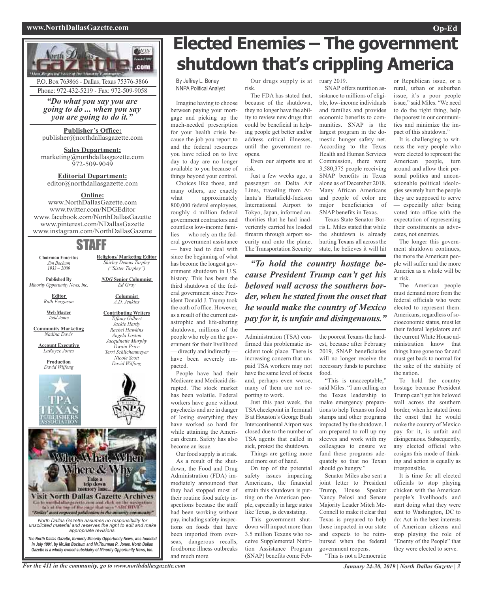#### **www.NorthDallasGazette.com Op-Ed**



P.O. Box 763866 - Dallas, Texas 75376-3866 Phone: 972-432-5219 - Fax: 972-509-9058

*"Do what you say you are going to do ... when you say you are going to do it."*

**Publisher's Office:** publisher@northdallasgazette.com

**Sales Department:** marketing@northdallasgazette.com 972-509-9049

**Editorial Department:** editor@northdallasgazette.com

#### **Online:**

www.NorthDallasGazette.com www.twitter.com/NDGEditor www.facebook.com/NorthDallasGazette www.pinterest.com/NDallasGazette www.instagram.com/NorthDallasGazette

## STAFF

**Chairman Emeritus** *Jim Bochum 1933 – 2009*

**Published By** *Minority Opportunity News, Inc.*

**Editor**

*NDG* **Senior Columnist** *Ed Gray* **Columnist**

*A.D. Jenkins* **Contributing Writers** *Tiffany Gilbert Jackie Hardy Rachel Hawkins Angela Loston Jacquinette Murphy Dwain Price Terri Schlichenmeyer Nicole Scott David Wilfong*

**Religious/ Marketing Editor** *Shirley Demus Tarpley ("Sister Tarpley")*

*Ruth Ferguson* **Web Master** *Todd Jones*

**Community Marketing** *Nadina Davis*

**Account Executive** *LaRoyce Jones*

> **Production** *David Wilfong*



*unsolicited material and reserves the right to edit and make appropriate revisions. The North Dallas Gazette, formerly Minority Opportunity News, was founded*

*in July 1991, by Mr.Jim Bochum and Mr.Thurman R. Jones. North Dallas Gazette is a wholly owned subsidairy of Minority Opportunity News, Inc.*

# **Elected Enemies – The government shutdown that's crippling America**

By Jeffrey L. Boney NNPA Political Analyst

Imagine having to choose between paying your mortgage and picking up the much-needed prescription for your health crisis because the job you report to and the federal resources you have relied on to live day to day are no longer available to you because of things beyond your control.

Choices like those, and many others, are exactly what approximately 800,000 federal employees, roughly 4 million federal government contractors and countless low-income families — who rely on the federal government assistance — have had to deal with since the beginning of what has become the longest government shutdown in U.S. history. This has been the third shutdown of the federal government since President Donald J. Trump took the oath of office. However, as a result of the current catastrophic and life-altering shutdown, millions of the people who rely on the government for their livelihood — directly and indirectly have been severely impacted.

People have had their Medicare and Medicaid disrupted. The stock market has been volatile. Federal workers have gone without paychecks and are in danger of losing everything they have worked so hard for while attaining the American dream. Safety has also become an issue.

Our food supply is at risk. As a result of the shutdown, the Food and Drug Administration (FDA) immediately announced that they had stopped most of their routine food safety inspections because the staff had been working without pay, including safety inspections on foods that have been imported from overseas, dangerous recalls, foodborne illness outbreaks and much more.

Our drugs supply is at ruary 2019. risk.

The FDA has stated that, because of the shutdown, they no longer have the ability to review new drugs that could be beneficial in helping people get better and/or address critical illnesses, until the government reopens.

Even our airports are at risk.

Just a few weeks ago, a passenger on Delta Air Lines, traveling from Atlanta's Hartsfield-Jackson International Airport to Tokyo, Japan, informed authorities that he had inadvertently carried his loaded firearm through airport security and onto the plane. The Transportation Security

*"To hold the country hostage because President Trump can't get his beloved wall across the southern border, when he stated from the onset that he would make the country of Mexico pay for it, is unfair and disingenuous."*

Administration (TSA) confirmed this problematic incident took place. There is increasing concern that unpaid TSA workers may not have the same level of focus and, perhaps even worse, many of them are not reporting to work.

Just this past week, the TSA checkpoint in Terminal B at Houston's George Bush Intercontinental Airport was closed due to the number of TSA agents that called in sick, protest the shutdown. Things are getting more

and more out of hand. On top of the potential

safety issues impacting Americans, the financial strain this shutdown is putting on the American people, especially in large states like Texas, is devastating.

This government shutdown will impact more than 3.5 million Texans who receive Supplemental Nutrition Assistance Program (SNAP) benefits come Feb-

SNAP offers nutrition assistance to millions of eligible, low-income individuals and families and provides economic benefits to communities. SNAP is the largest program in the domestic hunger safety net. According to the Texas Health and Human Services Commission, there were 3,580,375 people receiving SNAP benefits in Texas alone as of December 2018. Many African Americans and people of color are major beneficiaries of SNAP benefits in Texas.

Texas State Senator Borris L. Miles stated that while the shutdown is already hurting Texans all across the state, he believes it will hit

the poorest Texans the hard-

est, because after February 2019, SNAP beneficiaries will no longer receive the necessary funds to purchase food.

"This is unacceptable," said Miles. "I am calling on the Texas leadership to make emergency preparations to help Texans on food stamps and other programs impacted by the shutdown. I am prepared to roll up my sleeves and work with my colleagues to ensure we fund these programs adequately so that no Texan should go hungry."

Senator Miles also sent a joint letter to President Trump, House Speaker Nancy Pelosi and Senate Majority Leader Mitch Mc-Connell to make it clear that Texas is prepared to help those impacted in our state and expects to be reimbursed when the federal government reopens. "This is not a Democratic

or Republican issue, or a rural, urban or suburban issue, it's a poor people issue," said Miles. "We need to do the right thing, help the poorest in our communities and minimize the impact of this shutdown."

It is challenging to witness the very people who were elected to represent the American people, turn around and allow their personal politics and unconscionable political ideologies severely hurt the people they are supposed to serve — especially after being voted into office with the expectation of representing their constituents as advocates, not enemies.

The longer this government shutdown continues, the more the American people will suffer and the more America as a whole will be at risk.

The American people must demand more from the federal officials who were elected to represent them. Americans, regardless of socioeconomic status, must let their federal legislators and the current White House administration know that things have gone too far and must get back to normal for the sake of the stability of the nation.

To hold the country hostage because President Trump can't get his beloved wall across the southern border, when he stated from the onset that he would make the country of Mexico pay for it, is unfair and disingenuous. Subsequently, any elected official who cosigns this mode of thinking and action is equally as irresponsible.

It is time for all elected officials to stop playing chicken with the American people's livelihoods and start doing what they were sent to Washington, DC to do: Act in the best interests of American citizens and stop playing the role of "Enemy of the People" that they were elected to serve.

For the 411 in the community, go to www.northdallasgazette.com January 24-30, 2019 | North Dallas Gazette | 3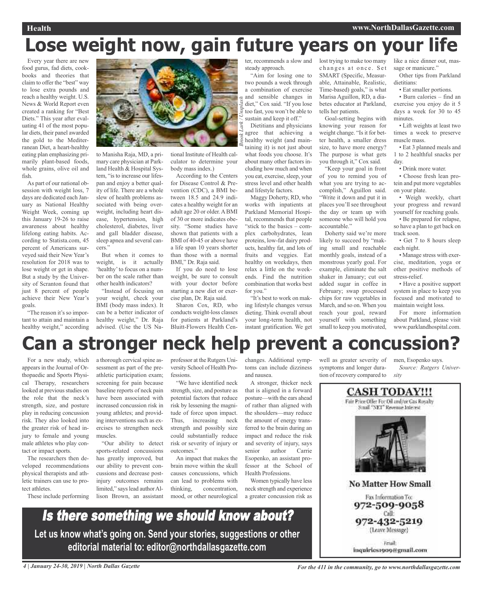# **Lose weight now, gain future years on your life**

Every year there are new food gurus, fad diets, cookbooks and theories that claim to offer the "best" way to lose extra pounds and reach a healthy weight. U.S. News & World Report even created a ranking for "Best Diets." This year after evaluating 41 of the most popular diets, their panel awarded the gold to the Mediterranean Diet, a heart-healthy eating plan emphasizing primarily plant-based foods, whole grains, olive oil and fish.

As part of our national obsession with weight loss, 7 days are dedicated each January as National Healthy Weight Week, coming up this January 19-26 to raise awareness about healthy lifelong eating habits. According to Statista.com, 45 percent of Americans surveyed said their New Year's resolution for 2018 was to lose weight or get in shape. But a study by the University of Scranton found that just 8 percent of people achieve their New Year's goals.

"The reason it's so important to attain and maintain a healthy weight," according



to Manisha Raja, MD, a primary care physician at Parkland Health & Hospital System, "is to increase our lifespan and enjoy a better quality of life. There are a whole slew of health problems associated with being overweight, including heart disease, hypertension, high cholesterol, diabetes, liver and gall bladder disease, sleep apnea and several cancers."

But when it comes to weight, is it actually 'healthy'to focus on a number on the scale rather than other health indicators?

"Instead of focusing on your weight, check your BMI (body mass index). It can be a better indicator of healthy weight," Dr. Raja advised. (Use the US Na-



body mass index.) According to the Centers for Disease Control & Prevention (CDC), a BMI between 18.5 and 24.9 indicates a healthy weight for an adult age 20 or older.ABMI of 30 or more indicates obesity. "Some studies have shown that patients with a BMI of 40-45 or above have a life span 10 years shorter than those with a normal BMI," Dr. Raja said.

If you do need to lose weight, be sure to consult with your doctor before starting a new diet or exercise plan, Dr. Raja said.

Sharon Cox, RD, who conducts weight-loss classes for patients at Parkland's Bluitt-Flowers Health Cen-

professor at the Rutgers University School of Health Proter, recommends a slow and steady approach.

"Aim for losing one to two pounds a week through a combination of exercise and sensible changes in diet," Cox said. "If you lose too fast, you won't be able to sustain and keep it off." *Brook Lark / Unsplash*

Dietitians and physicians agree that achieving a healthy weight (and maintaining it) is not just about what foods you choose. It's about many other factors including how much and when you eat, exercise, sleep, your stress level and other health and lifestyle factors.

Maggy Doherty, RD, who works with inpatients at Parkland Memorial Hospital, recommends that people "stick to the basics – complex carbohydrates, lean proteins, low-fat dairy products, healthy fat, and lots of fruits and veggies. Eat healthy on weekdays, then relax a little on the weekends. Find the nutrition combination that works best for you."

"It's best to work on making lifestyle changes versus dieting. Think overall about your long-term health, not instant gratification. We get

lost trying to make too many changes at once. Set SMART (Specific, Measurable, Attainable, Realistic, Time-based) goals," is what Marisa Aguillon, RD, a diabetes educator at Parkland, tells her patients.

Goal-setting begins with knowing your reason for weight change. "Is it for better health, a smaller dress size, to have more energy? The purpose is what gets you through it," Cox said.

"Keep your goal in front of you to remind you of what you are trying to accomplish," Aguillon said. "Write it down and put it in places you'll see throughout the day or team up with someone who will hold you accountable."

Doherty said we're more likely to succeed by "making small and reachable monthly goals, instead of a monstrous yearly goal. For example, eliminate the salt shaker in January; cut out added sugar in coffee in February; swap processed chips for raw vegetables in March, and so on. When you reach your goal, reward yourself with something small to keep you motivated, like a nice dinner out, massage or manicure."

Other tips from Parkland dietitians:

• Eat smaller portions.

• Burn calories – find an exercise you enjoy do it 5 days a week for 30 to 45 minutes.

• Lift weights at least two times a week to preserve muscle mass.

• Eat 3 planned meals and 1 to 2 healthful snacks per day.

• Drink more water.

• Choose fresh lean protein and put more vegetables on your plate.

• Weigh weekly, chart your progress and reward yourself for reaching goals.

• Be prepared for relapse, so have a plan to get back on track soon.

• Get 7 to 8 hours sleep each night.

• Manage stress with exercise, meditation, yoga or other positive methods of stress-relief.

• Have a positive support system in place to keep you focused and motivated to maintain weight loss.

For more information about Parkland, please visit www.parklandhospital.com.

# **Can a stronger neck help prevent a concussion?**

For a new study, which appears in the Journal of Orthopaedic and Sports Physical Therapy, researchers looked at previous studies on the role that the neck's strength, size, and posture play in reducing concussion risk. They also looked into the greater risk of head injury to female and young male athletes who play contact or impact sports.

The researchers then developed recommendations physical therapists and athletic trainers can use to protect athletes.

These include performing

a thorough cervical spine assessment as part of the preathletic participation exam; screening for pain because baseline reports of neck pain have been associated with increased concussion risk in young athletes; and providing interventions such as exercises to strengthen neck muscles.

"Our ability to detect sports-related concussions has greatly improved, but our ability to prevent concussions and decrease postinjury outcomes remains limited," says lead author Allison Brown, an assistant

fessions. "We have identified neck strength, size, and posture as

potential factors that reduce risk by lessening the magnitude of force upon impact. Thus, increasing neck strength and possibly size could substantially reduce risk or severity of injury or outcomes<sup>?</sup>

An impact that makes the brain move within the skull causes concussions, which can lead to problems with thinking, concentration, mood, or other neurological changes. Additional symptoms can include dizziness and nausea.

A stronger, thicker neck that is aligned in a forward posture—with the ears ahead of rather than aligned with the shoulders—may reduce the amount of energy transferred to the brain during an impact and reduce the risk and severity of injury, says senior author Carrie Esopenko, an assistant professor at the School of Health Professions.

Women typically have less neck strength and experience a greater concussion risk as

well as greater severity of symptoms and longer duration of recovery compared to

men, Esopenko says. *Source: Rutgers University*



Is there something we should know about? **Let us know what's going on. Send your stories, suggestions or other editorial material to: editor@northdallasgazette.com**

4 January 24-30, 2019 | North Dallas Gazette State State State State State State State State State State State State State State State State State State State State State State State State State State State State State Sta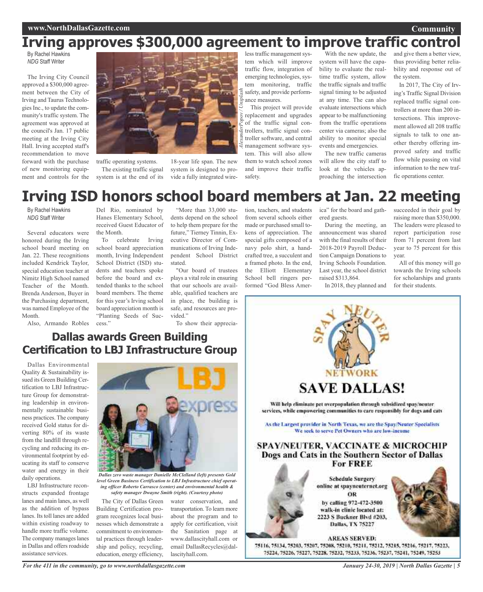# **Irving approves \$300,000 agreement to improve traffic control**

By Rachel Hawkins *NDG* Staff Writer

The Irving City Council approved a \$300,000 agreement between the City of Irving and Taurus Technologies Inc., to update the community's traffic system. The agreement was approved at the council's Jan. 17 public meeting at the Irving City Hall. Irving accepted staff's recommendation to move forward with the purchase of new monitoring equipment and controls for the



traffic operating systems. The existing traffic signal

system is at the end of its

18-year life span. The new system is designed to provide a fully integrated wire-

less traffic management system which will improve traffic flow, integration of emerging technologies, system monitoring, traffic safety, and provide performance measures.

This project will provide replacement and upgrades of the traffic signal controllers, traffic signal controller software, and central management software system. This will also allow them to watch school zones and improve their traffic

tion, teachers, and students from several schools either made or purchased small tokens of appreciation. The special gifts composed of a navy polo shirt, a handcrafted tree, a succulent and a framed photo. In the end, the Elliott Elementary School bell ringers per-

With the new update, the system will have the capability to evaluate the realtime traffic system, allow the traffic signals and traffic signal timing to be adjusted at any time. The can also evaluate intersections which appear to be malfunctioning from the traffic operations center via cameras; also the ability to monitor special events and emergencies.

The new traffic cameras will allow the city staff to look at the vehicles approaching the intersection

ica" for the board and gath-

During the meeting, an announcement was shared with the final results of their 2018-2019 Payroll Deduction Campaign Donations to Irving Schools Foundation. Last year, the school district

ered guests.

raised \$313,864.

and give them a better view, thus providing better reliability and response out of the system.

In 2017, The City of Irving's Traffic Signal Division replaced traffic signal controllers at more than 200 intersections. This improvement allowed all 208 traffic signals to talk to one another thereby offering improved safety and traffic flow while passing on vital information to the new traffic operations center.

# **Irving ISD honors school board members at Jan. 22 meeting**

safety.

By Rachel Hawkins *NDG* Staff Writer

Several educators were honored during the Irving school board meeting on Jan. 22. These recognitions included Kendrick Taylor, special education teacher at Nimitz High School named Teacher of the Month. Brenda Anderson, Buyer in the Purchasing department, was named Employee of the Month.

Also, Armando Robles

Del Rio, nominated by Hanes Elementary School, received Guest Educator of the Month.

To celebrate Irving school board appreciation month, Irving Independent School District (ISD) students and teachers spoke before the board and extended thanks to the school board members. The theme for this year's Irving school board appreciation month is "Planting Seeds of Success."

"More than 33,000 students depend on the school to help them prepare for the future," Tierney Tinnin, Executive Director of Communications of Irving Independent School District stated.

"Our board of trustees plays a vital role in ensuring that our schools are available, qualified teachers are in place, the building is safe, and resources are provided."

To show their apprecia-

### **Dallas awards Green Building Certification to LBJ Infrastructure Group**

Dallas Environmental Quality & Sustainability issued its Green Building Certification to LBJ Infrastructure Group for demonstrating leadership in environmentally sustainable business practices. The company received Gold status for diverting 80% of its waste from the landfill through recycling and reducing its environmental footprint by educating its staff to conserve water and energy in their daily operations.

LBJ Infrastructure reconstructs expanded frontage lanes and main lanes, as well as the addition of bypass lanes. Its toll lanes are added within existing roadway to handle more traffic volume. The company manages lanes in Dallas and offers roadside assistance services.



*Dallas zero waste manager Danielle McClelland (left) presents Gold level Green Business Certification to LBJ Infrastructure chief operating officer Roberto Carrasco (center) and environmental health & safety manager Dwayne Smith (right). (Courtesy photo)*

The City of Dallas Green Building Certification program recognizes local businesses which demonstrate a commitment to environmental practices through leadership and policy, recycling, education, energy efficiency,

*For the 411 in the community, go to www.northdallasgazette.com*

water conservation, and transportation. To learn more about the program and to apply for certification, visit the Sanitation page at www.dallascityhall.com or email DallasRecycles@dallascityhall.com.



walk-in clinic located at: 2223 S Buckner Blvd #203, Dallas, TX 75227

**AREAS SERVED:** 75116, 75134, 75203, 75207, 75208, 75210, 75211, 75212, 75215, 75216, 75217, 75223, 75224, 75226, 75227, 75228, 75232, 75233, 75236, 75237, 75241, 75249, 75253

succeeded in their goal by raising more than \$350,000. The leaders were pleased to report participation rose from 71 percent from last year to 75 percent for this year.

All of this money will go towards the Irving schools for scholarships and grants

**Community**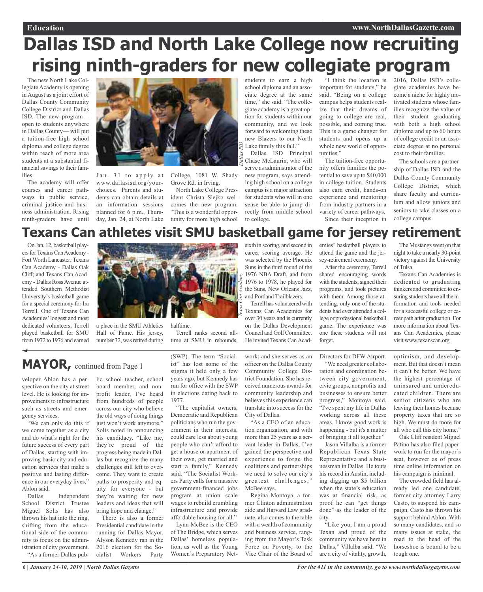# **Dallas ISD and North Lake College now recruiting rising ninth-graders for new collegiate program**

The new North Lake Collegiate Academy is opening in August as a joint effort of Dallas County Community College District and Dallas ISD. The new program open to students anywhere in Dallas County— will put a tuition-free high school diploma and college degree within reach of more area students at a substantial financial savings to their families.

The academy will offer courses and career pathways in public service, criminal justice and business administration. Rising ninth-graders have until



www.dallasisd.org/yourchoices. Parents and students can obtain details at an information sessions planned for 6 p.m., Thursday, Jan. 24, at North Lake

Jan. 31 to apply at College, 1081 W. Shady Grove Rd. in Irving.

North Lake College President Christa Slejko welcomes the new program. "This is a wonderful opportunity for more high school

students to earn a high school diploma and an associate degree at the same time," she said. "The collegiate academy is a great option for students within our community, and we look forward to welcoming these new Blazers to our North Lake family this fall."

Dallas ISD Principal Chase McLaurin, who will serve as administrator of the new program, says attending high school on a college campus is a major attraction for students who will in one sense be able to jump directly from middle school to college.

"I think the location is important for students," he said. "Being on a college campus helps students realize that their dreams of going to college are real, possible, and coming true. This is a game changer for students and opens up a whole new world of opportunities."

The tuition-free opportunity offers families the potential to save up to \$40,000 in college tuition. Students also earn credit, hands-on experience and mentoring from industry partners in a variety of career pathways. Since their inception in 2016, Dallas ISD's collegiate academies have become a niche for highly motivated students whose families recognize the value of their student graduating with both a high school diploma and up to 60 hours of college credit or an associate degree at no personal cost to their families.

The schools are a partnership of Dallas ISD and the Dallas County Community College District, which share faculty and curriculum and allow juniors and seniors to take classes on a college campus.

# **Texans Can athletes visit SMU basketball game for jersey retirement**

*Texas Can Academy*

*Dallas ISD*

On Jan. 12, basketball players for Texans Can Academy -Fort Worth Lancaster; Texans Can Academy - Dallas Oak Cliff; and Texans Can Academy - Dallas RossAvenue attended Southern Methodist University's basketball game for a special ceremony for Ira Terrell. One of Texans Can Academies'longest and most dedicated volunteers, Terrell played basketball for SMU from1972 to 1976 and earned



a place in the SMU Athletics Hall of Fame. His jersey, number 32, was retired during

lic school teacher, school

halftime.

Terrell ranks second alltime at SMU in rebounds,

sixth in scoring, and second in career scoring average. He was selected by the Phoenix Suns in the third round of the 1976 NBA Draft, and from 1976 to 1978, he played for the Suns, New Orleans Jazz, and Portland Trailblazers.

Terrell has volunteered with Texans Can Academies for over 30 years and is currently on the Dallas Development Council and GolfCommittee. He invited Texans Can Academies' basketball players to attend the game and the jersey-retirement ceremony.

After the ceremony, Terrell shared encouraging words with the students, signed their programs, and took pictures with them. Among those attending, only one of the students had ever attended a college or professional basketball game. The experience was one these students will not forget

The Mustangs went on that night to take a nearly 30-point victory against the University of Tulsa.

Texans Can Academies is dedicated to graduating thinkers and committed to ensuring students have all the information and tools needed for a successful college or career path after graduation. For more information about Texans Can Academies, please visit www.texanscan.org.

### **MAYOR,** continued from Page <sup>1</sup>

veloper Ablon has a perspective on the city at street level. He is looking for improvements to infrastructure such as streets and emergency services.

"We can only do this if we come together as a city and do what's right for the future success of every part of Dallas, starting with improving basic city and education services that make a positive and lasting difference in our everyday lives," Ablon said.

Dallas Independent School District Trustee Miguel Solis has also thrown his hat into the ring, shifting from the educational side of the community to focus on the administration of city government. "As a former Dallas pub-

board member, and nonprofit leader, I've heard from hundreds of people across our city who believe the old ways of doing things just won't work anymore," Solis noted in announcing his candidacy. "Like me, they're proud of the progress being made in Dallas but recognize the many challenges still left to overcome. They want to create paths to prosperity and equity for everyone - but they're waiting for new leaders and ideas that will bring hope and change." There is also a former

Presidential candidate in the running for Dallas Mayor. Alyson Kennedy ran in the 2016 election for the Socialist Workers Party (SWP). The term "Socialist" has lost some of the stigma it held only a few years ago, but Kennedy has run for office with the SWP in elections dating back to 1977.

"The capitalist owners, Democratic and Republican politicians who run the government in their interests, could care less about young people who can't afford to get a house or apartment of their own, get married and start a family," Kennedy said. "The Socialist Workers Party calls for a massive government-financed jobs program at union scale wages to rebuild crumbling infrastructure and provide affordable housing for all."

Lynn McBee is the CEO of The Bridge, which serves Dallas' homeless population, as well as the Young Women's Preparatory Net-

work; and she serves as an officer on the Dallas County Community College District Foundation. She has received numerous awards for community leadership and believes this experience can translate into success for the City of Dallas.

"As a CEO of an education organization, and with more than 25 years as a servant leader in Dallas, I've gained the perspective and experience to forge the coalitions and partnerships we need to solve our city's greatest challenges," McBee says.

Regina Montoya, a former Clinton administration aide and Harvard Law graduate, also comes to the table with a wealth of community and business service, ranging from the Mayor's Task Force on Poverty, to the Vice Chair of the Board of

Directors for DFW Airport. "We need greater collaboration and coordination between city government, civic groups, nonprofits and businesses to ensure better progress," Montoya said. "I've spent my life in Dallas working across all these areas. I know good work is happening - but it's a matter

of bringing it all together." Jason Villalba is a former Republican Texas State Representative and a businessman in Dallas. He touts his record in Austin, including digging up \$5 billion when the state's education was at financial risk, as proof he can "get things done" as the leader of the city.

"Like you, I am a proud Texan and proud of the community we have here in Dallas," Villalba said. "We are a city of vitality, growth,

optimism, and development. But that doesn't mean it can't be better. We have the highest percentage of uninsured and undereducated children. There are senior citizens who are leaving their homes because property taxes that are so high. We must do more for all who call this city home."

Oak Cliff resident Miguel Patino has also filed paperwork to run for the mayor's seat, however as of press time online information on his campaign is minimal.

The crowded field has already led one candidate, former city attorney Larry Casto, to suspend his campaign. Casto has thrown his support behind Ablon. With so many candidates, and so many issues at stake, the road to the head of the horseshoe is bound to be a tough one.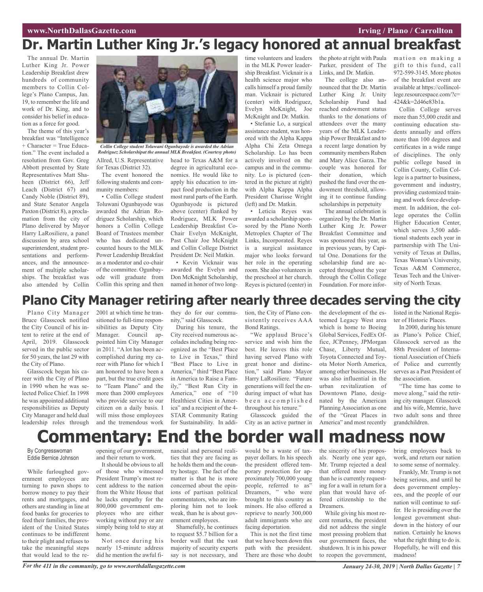# **Dr. Martin Luther King Jr.'s legacy honored at annual breakfast**

The annual Dr. Martin Luther King Jr. Power Leadership Breakfast drew hundreds of community members to Collin College's Plano Campus, Jan. 19, to remember the life and work of Dr. King, and to consider his belief in education as a force for good.

The theme of this year's breakfast was "Intelligence  $+$  Character = True Education." The event included a resolution from Gov. Greg Abbott presented by State Representatives Matt Shaheen (District 66), Jeff Leach (District 67) and Candy Noble (District 89), and State Senator Angela Paxton (District 8), a proclamation from the city of Plano delivered by Mayor Harry LaRosiliere, a panel discussion by area school superintendent, student presentations and performances, and the announcement of multiple scholarships. The breakfast was also attended by Collin



Allred, U.S. Representative for Texas (District 32). *Collin College student Toluwani Ogunbayode is awarded the Adrian Rodriguez Scholarshipat the annual MLK Breakfast. (Courtesy photo)*

The event honored the following students and community members:

• Collin College student Toluwani Ogunbayode was awarded the Adrian Rodriguez Scholarship, which honors a Collin College Board of Trustees member who has dedicated uncounted hours to the MLK Power Leadership Breakfast as a moderator and co-chair of the committee. Ogunbayode will graduate from Collin this spring and then

head to Texas A&M for a degree in agricultural economics. He would like to apply his education to impact food production in the most rural parts of the Earth. Ogunbayode is pictured above (center) flanked by Rodriguez, MLK Power Leadership Breakfast Co-Chair Evelyn McKnight, Past Chair Joe McKnight and Collin College District President Dr. Neil Matkin.

• Kevin Vicknair was awarded the Evelyn and Don McKnight Scholarship, named in honor of two longtime volunteers and leaders in the MLK Power leadership Breakfast. Vicknair is a health science major who calls himself a proud family man. Vicknair is pictured (center) with Rodriguez, Evelyn McKnight, Joe McKnight and Dr. Matkin.

• Stefanie Lo, a surgical assistance student, was honored with the Alpha Kappa Alpha Chi Zeta Omega Scholarship. Lo has been actively involved on the campus and in the community. Lo is pictured (centered in the picture at right) with Alpha Kappa Alpha President Charisse Wright (left) and Dr. Matkin.

• Leticia Reyes was awarded a scholarship sponsored by the Plano North Metroplex Chapter of The Links, Incorporated. Reyes is a surgical assistance major who looks forward her role in the operating room. She also volunteers in the preschool at her church. Reyes is pictured (center) in

the photo at right with Paula Parker, president of The Links, and Dr. Matkin.

The college also announced that the Dr. Martin Luther King Jr. Unity Scholarship Fund had reached endowment status thanks to the donations of attendees over the many years of the MLK Leadership Power Breakfast and to a recent large donation by community members Ruben and Mary Alice Garza. The couple was honored for their donation, which pushed the fund over the endowment threshold, allowing it to continue funding scholarships in perpetuity

The annual celebration is organized by the Dr. Martin Luther King Jr. Power Breakfast Committee and was sponsored this year, as in previous years, by Capital One. Donations for the scholarship fund are accepted throughout the year through the Collin College Foundation. For more infor-

mation on making a gift to this fund, call 972-599-3145. More photos of the breakfast event are available at https://collincollege.resourcespace.com/?c= 424&k=2d46e83b1a.

Collin College serves more than 55,000 credit and continuing education students annually and offers more than 100 degrees and certificates in a wide range of disciplines. The only public college based in Collin County, Collin College is a partner to business, government and industry, providing customized training and work force development. In addition, the college operates the Collin Higher Education Center, which serves 3,500 additional students each year in partnership with The University of Texas at Dallas, Texas Woman's University, Texas A&M Commerce, Texas Tech and the University of North Texas.

## **Plano City Manager retiring after nearly three decades serving the city**

Plano City Manager Bruce Glasscock notified the City Council of his intent to retire at the end of April, 2019. Glasscock served in the public sector for 50 years, the last 29 with the City of Plano.

Glasscock began his career with the City of Plano in 1990 when he was selected Police Chief. In 1998 he was appointed additional responsibilities as Deputy City Manager and held dual leadership roles through

sitioned to full-time responsibilities as Deputy City Manager. Council appointed him City Manager in 2011. "A lot has been accomplished during my career with Plano for which I am honored to have been a part, but the true credit goes to "Team Plano" and the more than 2000 employees who provide service to our citizen on a daily basis. I will miss those employees and the tremendous work

2001 at which time he tran-

they do for our community," said Glasscock.

During his tenure, the City received numerous accolades including being recognized as the "Best Place to Live in Texas," third "Best Place to Live in America," third "Best Place in America to Raise a Family," "Best Run City in America," one of "10 Healthiest Cities in America" and a recipient of the 4- STAR Community Rating for Sustainability. In addition, the City of Plano consistently receives AAA Bond Ratings.

"We applaud Bruce's service and wish him the best. He leaves this role having served Plano with great honor and distinction," said Plano Mayor Harry LaRosiliere. "Future generations will feel the enduring impact of what has b e e n a c c o m p l i s h e d throughout his tenure."

Glasscock guided the City as an active partner in the development of the esteemed Legacy West area which is home to Boeing Global Services, FedEx Office, JCPenney, JPMorgan Chase, Liberty Mutual, Toyota Connected and Toyota Motor North America, among other businesses. He was also influential in the urban revitalization of Downtown Plano, designated by the American Planning Association as one of the "Great Places in America" and most recently

listed in the National Register of Historic Places.

In 2000, during his tenure as Plano's Police Chief, Glasscock served as the 88th President of International Association of Chiefs of Police and currently serves as a Past President of the association.

"The time has come to move along," said the retiring city manager. Glasscock and his wife, Memrie, have two adult sons and three grandchildren.

# **Commentary: End the border wall madness now**

By Congresswoman Eddie Bernice Johnson

While furloughed government employees are turning to pawn shops to borrow money to pay their rents and mortgages, and others are standing in line at food banks for groceries to feed their families, the president of the United States continues to be indifferent to their plight and refuses to take the meaningful steps that would lead to the re-

opening of our government, and their return to work. It should be obvious to all

of those who witnessed President Trump's most recent address to the nation from the White House that he lacks empathy for the 800,000 government employees who are either working without pay or are simply being told to stay at home.

Not once during his nearly 15-minute address did he mention the awful fi-

nancial and personal realities that they are facing as he holds them and the country hostage. The fact of the matter is that he is more concerned about the opinions of partisan political commentators, who are imploring him not to look weak, than he is about government employees.

Shamefully, he continues to request \$5.7 billion for a border wall that the vast majority of security experts say is not necessary, and

would be a waste of taxpayer dollars. In his speech the president offered temporary protection for approximately 700,000 young people, referred to as" Dreamers, " who were brought to this country as minors. He also offered a reprieve to nearly 300,000 adult immigrants who are facing deportation.

This is not the first time that we have been down this path with the president. There are those who doubt the sincerity of his proposals. Nearly one year ago, Mr. Trump rejected a deal that offered more money than he is currently requesting for a wall in return for a plan that would have offered citizenship to the Dreamers.

While giving his most recent remarks, the president did not address the single most pressing problem that our government faces, the shutdown. It is in his power to reopen the government,

bring employees back to work, and return our nation to some sense of normalcy.

Frankly, Mr. Trump is not being serious, and until he does government employees, and the people of our nation will continue to suffer. He is presiding over the longest government shutdown in the history of our nation. Certainly he knows what the right thing to do is. Hopefully, he will end this madness!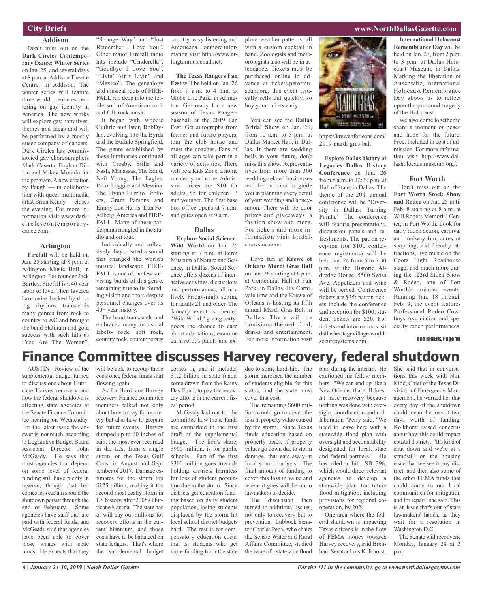#### **City Briefs**

#### **Addison**

Don't miss out on the **Dark Circles Contemporary Dance: Winter Series** on Jan. 25, and several days at 8 p.m. at Addison Theatre Centre, in Addison. The winter series will feature three world premieres centering on gay identity in America. The new works will explore gay narratives, themes and ideas and will be performed by a mostly queer company of dancers. Dark Circles has commissioned gay choreographers Mark Caserta, Eoghan Dillon and Mikey Morado for the program. A new creation by Peugh — in collaboration with queer multimedia artist Brian Kenny — closes the evening. For more information visit www.darkcirclescontemporarydance.com.

#### **Arlington**

**Firefall** will be held on Jan. 25 starting at 8 p.m. at Arlington Music Hall, in Arlington. For founder Jock Bartley, Firefall is a 40 year labor of love. Their layered harmonies backed by driving rhythms transcends many genres from rock to country to AC and brought the band platinum and gold success with such hits as "You Are The Woman",

"Strange Way" and "Just Remember I Love You". Other major Firefall radio hits include "Cinderella", "Goodbye I Love You", "Livin' Ain't Livin" and "Mexico". The genealogy and musical roots of FIRE-FALL run deep into the fertile soil of American rock and folk rock music.

It began with Woodie Guthrie and later, BobDylan, evolving into the Byrds and the Buffalo Springfield. The genre established by these luminaries continued with Crosby, Stills and Nash, Manassas, The Band, Neil Young, The Eagles, Poco, Loggins and Messina, The Flying Burrito Brothers, Gram Parsons and Emmy Lou Harris, Dan Fogelberg, America and FIRE-FALL. Many of these participants mingled in the studio and on tour.

Individually and collectively they created a sound that changed the world's musical landscape. FIRE-FALL is one of the few surviving bands of this genre, remaining true to its founding vision and roots despite personnel changes over its 40+ year history.

The band transcends and embraces many industrial labels- rock, soft rock, country rock, contemporary country, easy listening and Americana. For more information visit http://www.arlingtonmusichall.net.

**The Texas Rangers Fan Fest** will be held on Jan. 26 from 9 a.m. to 4 p.m. at Globe Life Park, in Arlington. Get ready for a new season of Texas Rangers baseball at the 2019 Fan Fest. Get autographs from former and future players, tour the club house and meet the coaches. Fans of all ages can take part in a variety of activities. There will be a Kids Zone, a home run derby and more. Admission prices are \$10 for adults, \$5 for children 13 and younger. The first base box office opens at 7 a.m. and gates open at 9 a.m.

#### **Dallas**

**Explore Social Science: Wild World** on Jan. 25 starting at 7 p.m. at Perot Museum of Nature and Science, in Dallas. Social Science offers dozens of interactive activities, discussions and performances, all in a lively Friday-night setting for adults 21 and older. The January event is themed "Wild World," giving partygoers the chance to earn about adaptations, examine carnivorous plants and ex-

plore weather patterns, all with a custom cocktail in hand. Zoologists and meteorologists also will be in attendance. Tickets must be purchased online in advance at tickets.perotmuseum.org, this event typically sells out quickly, so buy your tickets early.

You can see the **Dallas Bridal Show** on Jan. 26, from 10 a.m. to 5 p.m. at Dallas Market Hall, in Dallas. If there are wedding bells in your future, don't miss this show. Representatives from more than 300 wedding-related businesses will be on hand to guide you in planning every detail of your wedding and honeymoon. There will be door prizes and giveaways, a fashion show and more. For tickets and more information visit bridalshowsinc.com.

Have fun at **Krewe of Orleans Mardi Gras Ball** on Jan. 26 starting at 6 p.m. at Centennial Hall at Fair Park, in Dallas. It's Carnivale time and the Krewe of Orleans is hosting its fifth annual Mardi Gras Ball in Dallas. There will be Louisiana-themed food, drinks and entertainment. For more information visit



**International Holocaust Remembrance Day** will be held on Jan. 27, from 2 p.m. to 3 p.m. at Dallas Holocaust Museum, in Dallas. Marking the liberation of Auschwitz, International Holocaust Remembrance Day allows us to reflect upon the profound tragedy of the Holocaust.

We also come together to share a moment of peace and hope for the future. Free. Included in cost of admission. For more information visit http://www.dallasholocaustmuseum.org/.

#### **Fort Worth**

Don't miss out on the **Fort Worth Stock Show and Rodeo** on Jan. 25 until Feb. 8 starting at 8 a.m. at Will Rogers Memorial Center, in Fort Worth. Look for daily rodeo action, carnival and midway fun, acres of shopping, kid-friendly attractions, live music on the Coors Light Roadhouse stage, and much more during the 123rd Stock Show & Rodeo, one of Fort Worth's premier events. Running Jan. 18 through Feb. 9, the event features Professional Rodeo Cowboys Association and specialty rodeo performances,

#### See BRIEFS, Page 16

### **Finance Committee discusses Harvey recovery, federal shutdown**

AUSTIN - Review of the supplemental budget turned to discussions about Hurricane Harvey recovery and how the federal shutdown is affecting state agencies at the Senate Finance Committee hearing on Wednesday. For the latter issue the answer is: not much, according to Legislative Budget Board Assistant Director John McGeady. He says that most agencies that depend on some level of federal funding still have plenty in reserve, though that becomes less certain should the shutdown persist through the end of February. Some agencies have staff that are paid with federal funds, and McGeady said that agencies have been able to cover those wages with state funds. He expects that they

will be able to recoup those costs once federal funds start flowing again.

As for Hurricane Harvey recovery, Finance committee members talked not only about how to pay for recovery but also how to prepare for future events. Harvey dumped up to 60 inches of rain, the most ever recorded in the U.S. from a single storm, on the Texas Gulf Coast in August and September of 2017. Damage estimates for the storm top \$125 billion, making it the second most costly storm in US history, after 2005's Hurricane Katrina. The state has or will pay out millions for recovery efforts in the current biennium, and those costs have to be balanced on state ledgers. That's where the supplemental budget

comes in, and it includes \$1.2 billion in state funds, some drawn from the Rainy Day Fund, to pay for recovery efforts in the current fiscal period.

McGeady laid out for the committee how those funds are earmarked in the first draft of the supplemental budget. The lion's share, \$900 million, is for public schools. Part of the first \$300 million goes towards holding districts harmless for loss of student population due to the storm. Since districts get education funding based on daily student population, losing students displaced by the storm hit local school district budgets hard. The rest is for compensatory education costs, that is, students who get more funding from the state

due to some hardship. The storm increased the number of students eligible for this status, and the state must cover that cost.

The remaining \$600 million would go to cover the loss in property value caused by the storm. Since Texas funds education based on property taxes, if property values go down due to storm damage, that eats away at local school budgets. The final amount of funding to cover this loss in value and where it goes will be up to lawmakers to decide.

The discussion then turned to additional issues, not only to recovery but to prevention. Lubbock Senator Charles Perry, who chairs the Senate Water and Rural Affairs Committee, studied the issue of a statewide flood

plan during the interim. He cautioned his fellow members. "We can end up like a New Orleans, that still doesn't have recovery because nothing was done with oversight, coordination and collaboration "Perry said. "We need to leave here with a statewide flood plan with oversight and accountability designated for local, state and federal partners." He has filed a bill, SB 396, which would direct relevant agencies to develop a statewide plan for future flood mitigation, including provisions for regional cooperation, by 2024.

https://kreweoforleans.com/ 2019-mardi-gras-ball.

Explore **Dallas history at Legacies Dallas History Conference** on Jan. 26 from 8 a.m. to 12:30 p.m. at Hall of State, in Dallas. The theme of the 20th annual conference will be "Diversity in Dallas: Turning Points." The conference will feature presentations, discussion panels and refreshments. The patron reception (for \$100 conference registrants) will be held Jan. 24 from 6 to 7:30 p.m. at the Historic Aldredge House, 5500 Swiss Ave. Appetizers and wine will be served. Conference tickets are \$35; patron tickets include the conference and reception for \$100; student tickets are \$20. For tickets and information visit dallasheritagevillage.worldsecuresystems.com.

One area where the federal shutdown is impacting Texas citizens is in the flow of FEMA money towards Harvey recovery, said Brenham Senator Lois Kolkhorst.

She said that in conversations this week with Nim Kidd, Chief of the Texas Division of Emergency Management, he warned her that every day of the shutdown could mean the loss of two days worth of funding. Kolkhorst raised concerns about how this could impact coastal districts. "It's kind of shut down and we're at a standstill on the housing issue that we see in my district, and then also some of the other FEMA funds that could come to our local communities for mitigation and for repair" she said. This is an issue that's out of state lawmakers' hands, as they wait for a resolution in Washington D.C.

The Senate will reconvene Monday, January 28 at 3 p.m.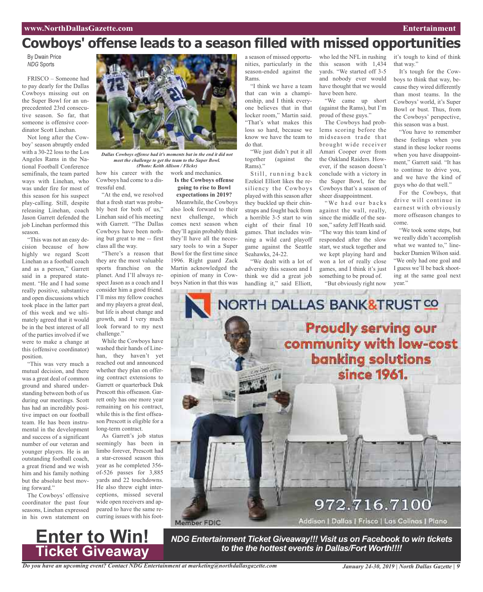# **Cowboys' offense leads to a season filled with missed opportunities**

By Dwain Price *NDG* Sports

FRISCO – Someone had to pay dearly for the Dallas Cowboys missing out on the Super Bowl for an unprecedented 23rd consecutive season. So far, that someone is offensive coordinator Scott Linehan.

Not long after the Cowboy' season abruptly ended with a 30-22 loss to the Los Angeles Rams in the National Football Conference semifinals, the team parted ways with Linehan, who was under fire for most of this season for his suspect play-calling. Still, despite releasing Linehan, coach Jason Garrett defended the job Linehan performed this season.

"This was not an easy decision because of how highly we regard Scott Linehan as a football coach and as a person," Garrett said in a prepared statement. "He and I had some really positive, substantive and open discussions which took place in the latter part of this week and we ultimately agreed that it would be in the best interest of all of the parties involved if we were to make a change at this (offensive coordinator) position.

"This was very much a mutual decision, and there was a great deal of common ground and shared understanding between both of us during our meetings. Scott has had an incredibly positive impact on our football team. He has been instrumental in the development and success of a significant number of our veteran and younger players. He is an outstanding football coach, a great friend and we wish him and his family nothing but the absolute best moving forward."

The Cowboys' offensive coordinator the past four seasons, Linehan expressed in his own statement on

**Enter to Win!**

**Ticket Giveaway**



*Dallas Cowboys offense had it's moments but in the end it did not meet the challenge to get the team to the Super Bowl. (Photo: Keith Allison / Flickr)*

**Is the Cowboys offense going to rise to Bowl expectations in 2019?** Meanwhile, the Cowboys also look forward to their next challenge, which comes next season when they'll again probably think they'll have all the necessary tools to win a Super Bowl for the first time since 1996. Right guard Zack Martin acknowledged the opinion of many in Cowboys Nation in that this was

how his career with the work and mechanics. Cowboys had come to a distressful end.

"At the end, we resolved that a fresh start was probably best for both of us," Linehan said of his meeting with Garrett. "The Dallas Cowboys have been nothing but great to me -- first class all the way.

"There's a reason that they are the most valuable sports franchise on the planet. And I'll always respect Jason as a coach and I consider him a good friend. I'll miss my fellow coaches and my players a great deal, but life is about change and growth, and I very much look forward to my next challenge."

While the Cowboys have washed their hands of Linehan, they haven't yet reached out and announced whether they plan on offering contract extensions to Garrett or quarterback Dak Prescott this offseason. Garrett only has one more year remaining on his contract, while this is the first offseason Prescott is eligible for a long-term contract.

As Garrett's job status seemingly has been in limbo forever, Prescott had a star-crossed season this year as he completed 356 of-526 passes for 3,885 yards and 22 touchdowns. He also threw eight interceptions, missed several wide open receivers and appeared to have the same recurring issues with his foot-

Member FDIC

a season of missed opportunities, particularly in the season-ended against the Rams.

"I think we have a team that can win a championship, and I think everyone believes that in that locker room," Martin said. "That's what makes this loss so hard, because we know we have the team to do that.

"We just didn't put it all together (against the Rams)."

Still, running back Ezekiel Elliott likes the resiliency the Cowboys played with this season after they buckled up their chinstraps and fought back from a horrible 3-5 start to win eight of their final 10 games. That includes winning a wild card playoff game against the Seattle Seahawks, 24-22.

"We dealt with a lot of adversity this season and I think we did a great job handling it," said Elliott,

who led the NFL in rushing this season with 1,434 yards. "We started off 3-5 and nobody ever would have thought that we would have been here.

"We came up short (against the Rams), but I'm proud of these guys."

The Cowboys had problems scoring before the midseason trade that brought wide receiver Amari Cooper over from the Oakland Raiders. However, if the season doesn't conclude with a victory in the Super Bowl, for the Cowboys that's a season of sheer disappointment.

"We had our backs against the wall, really, since the middle of the season," safety Jeff Heath said. "The way this team kind of responded after the slow start, we stuck together and we kept playing hard and won a lot of really close games, and I think it's just something to be proud of.

"But obviously right now

it's tough to kind of think that way."

It's tough for the Cowboys to think that way, because they wired differently than most teams. In the Cowboys' world, it's Super Bowl or bust. Thus, from the Cowboys' perspective, this season was a bust.

"You have to remember these feelings when you stand in these locker rooms when you have disappointment," Garrett said. "It has to continue to drive you, and we have the kind of guys who do that well."

For the Cowboys, that drive will continue in earnest with obviously more offseason changes to come.

"We took some steps, but we really didn't accomplish what we wanted to," linebacker Damien Wilson said. "We only had one goal and I guess we'll be back shooting at the same goal next year."



Addison | Dallas | Frisco | Las Calinas | Plano

*NDG Entertainment Ticket Giveaway!!! Visit us on Facebook to win tickets to the the hottest events in Dallas/Fort Worth!!!!*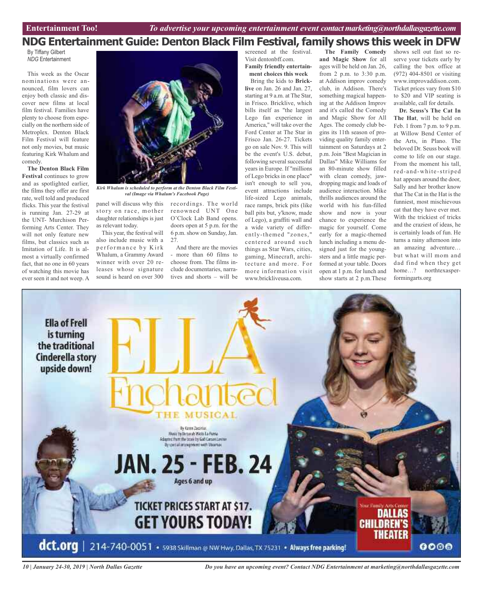### **NDG Entertainment Guide: Denton Black Film Festival, family shows this week in DFW The Family Comedy**

By Tiffany Gilbert *NDG* Entertainment

This week as the Oscar nominations were announced, film lovers can enjoy both classic and discover new films at local film festival. Families have plenty to choose from especially on the northern side of Metroplex. Denton Black Film Festival will feature not only movies, but music featuring Kirk Whalum and comedy.

**The Denton Black Film Festival** continues to grow and as spotlighted earlier, the films they offer are first rate, well told and produced flicks. This year the festival is running Jan. 27-29 at the UNT- Murchison Performing Arts Center. They will not only feature new films, but classics such as Imitation of Life. It is almost a virtually confirmed fact, that no one in 60 years of watching this movie has ever seen it and not weep. A



*Kirk Whalum is scheduled to perform at the Denton Black Film Festival (Image via Whalum's Facebook Page)*

panel will discuss why this recordings. The world story on race, mother daughter relationships is just as relevant today.

This year, the festival will also include music with a performance by Kirk Whalum, a Grammy Award winner with over 20 releases whose signature sound is heard on over 300

renowned UNT One O'Clock Lab Band opens. doors open at 5 p.m. for the 6 p.m. show on Sunday, Jan. 27.

And there are the movies - more than 60 films to choose from. The films include documentaries, narratives and shorts – will be screened at the festival. Visit dentonbff.com.

**Family friendly entertainment choices this week** Bring the kids to **Brick-**

**live** on Jan. 26 and Jan. 27, starting at 9 a.m. at The Star, in Frisco. Bricklive, which bills itself as "the largest Lego fan experience in America," will take over the Ford Center at The Star in Frisco Jan. 26-27. Tickets go on sale Nov. 9. This will be the event's U.S. debut, following several successful years in Europe. If "millions of Lego bricks in one place" isn't enough to sell you, event attractions include life-sized Lego animals, race ramps, brick pits (like ball pits but, y'know, made of Lego), a graffiti wall and a wide variety of differently-themed "zones, " centered around such things as Star Wars, cities, gaming, Minecraft, architecture and more. For more information visit www.brickliveusa.com.

**and Magic Show** for all ages will be held on Jan. 26, from 2 p.m. to 3:30 p.m. at Addison improv comedy club, in Addison. There's something magical happening at the Addison Improv and it's called the Comedy and Magic Show for All Ages. The comedy club begins its 11th season of providing quality family entertainment on Saturdays at 2 p.m. Join "Best Magician in Dallas" Mike Williams for an 80-minute show filled with clean comedy, jawdropping magic and loads of audience interaction. Mike thrills audiences around the world with his fun-filled show and now is your chance to experience the magic for yourself. Come early for a magic-themed lunch including a menu designed just for the youngsters and a little magic performed at your table. Doors open at 1 p.m. for lunch and show starts at 2 p.m.These shows sell out fast so reserve your tickets early by calling the box office at (972) 404-8501 or visiting www.improvaddison.com. Ticket prices vary from \$10 to \$20 and VIP seating is available, call for details.

**Dr. Seuss's The Cat In The Hat**, will be held on Feb. 1 from 7 p.m. to 9 p.m. at Willow Bend Center of the Arts, in Plano. The beloved Dr. Seuss book will come to life on our stage. From the moment his tall, red-and-white-striped hat appears around the door, Sally and her brother know that The Cat in the Hat is the funniest, most mischievous cat that they have ever met. With the trickiest of tricks and the craziest of ideas, he is certainly loads of fun. He turns a rainy afternoon into an amazing adventure… but what will mom and dad find when they get home…? northtexasperformingarts.org



*10 | January 24-30, 2019 | North Dallas Gazette*

*Do you have an upcoming event? Contact NDG Entertainment at marketing@northdallasgazette.com*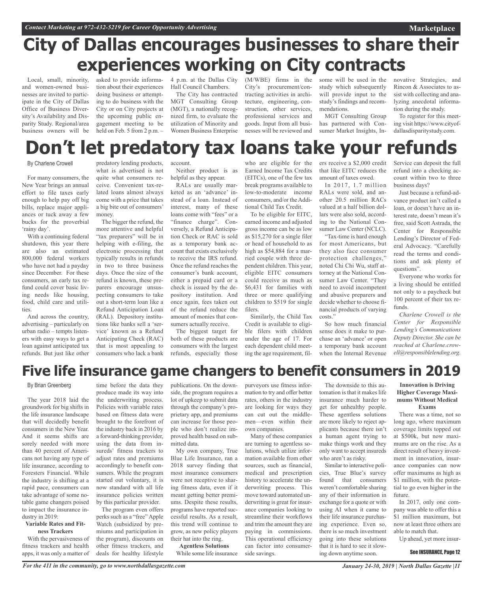# **City of Dallas encourages businesses to share their experiences working on City contracts**

Local, small, minority, and women-owned businesses are invited to participate in the City of Dallas Office of Business Diversity's Availability and Disparity Study. Regional/area business owners will be

asked to provide information about their experiences doing business or attempting to do business with the City or on City projects at the upcoming public engagement meeting to be held on Feb. 5 from 2 p.m. -

4 p.m. at the Dallas City Hall Council Chambers.

The City has contracted MGT Consulting Group (MGT), a nationally recognized firm, to evaluate the utilization of Minority and Women Business Enterprise

(M/WBE) firms in the City's procurement/contracting activities in architecture, engineering, construction, other services, professional services and goods. Input from all businesses will be reviewed and

some will be used in the study which subsequently will provide input to the study's findings and recommendations.

MGT Consulting Group has partnered with Consumer Market Insights, Innovative Strategies, and Rincon & Associates to assist with collecting and analyzing anecdotal information during the study.

To register for this meeting visit https://www.cityofdallasdisparitystudy.com.

# **Don't let predatory tax loans take your refunds**

#### By Charlene Crowell

For many consumers, the New Year brings an annual effort to file taxes early enough to help pay off big bills, replace major appliances or tuck away a few bucks for the proverbial 'rainy day'.

With a continuing federal shutdown, this year there are also an estimated 800,000 federal workers who have not had a payday since December. For these consumers, an early tax refund could cover basic living needs like housing, food, child care and utilities.

And across the country, advertising – particularly on urban radio – tempts listeners with easy ways to get a loan against anticipated tax refunds. But just like other

predatory lending products, what is advertised is not quite what consumers receive. Convenient tax-related loans almost always come with a price that takes a big bite out of consumers'

money.

The bigger the refund, the more attentive and helpful "tax preparers" will be in helping with e-filing, the electronic processing that typically results in refunds in two to three business days. Once the size of the refund is known, these preparers encourage unsuspecting consumers to take out a short-term loan like a Refund Anticipation Loan (RAL). Depository institutions like banks sell a 'service' known as a Refund Anticipating Check (RAC) that is most appealing to consumers who lack a bank

account.

Neither product is as helpful as they appear.

RALs are usually marketed as an 'advance' instead of a loan. Instead of interest, many of these loans come with "fees" or a "finance charge". Conversely, a Refund Anticipation Check or RAC is sold as a temporary bank account that exists exclusively to receive the IRS refund. Once the refund reaches the consumer's bank account, either a prepaid card or a check is issued by the depository institution. And once again, fees taken out of the refund reduce the amount of monies that consumers actually receive.

The biggest target for both of these products are consumers with the largest refunds, especially those

who are eligible for the Earned Income Tax Credits (EITCs), one of the few tax break programs available to low-to-moderate income consumers, and/or the Additional Child Tax Credit.

To be eligible for EITC, earned income and adjusted gross income can be as low as \$15,270 for a single filer or head of household to as high as \$54,884 for a married couple with three dependent children. This year, eligible EITC consumers could receive as much as \$6,431 for families with three or more qualifying children to \$519 for single filers.

Similarly, the Child Tax Credit is available to eligible filers with children under the age of 17. For each dependent child meeting the age requirement, fil-

ers receive a \$2,000 credit that like EITC reduces the amount of taxes owed.

In 2017, 1.7 million RALs were sold, and another 20.5 million RACs valued at a half billion dollars were also sold, according to the National Consumer Law Center (NCLC).

"Tax-time is hard enough for most Americans, but they also face consumer protection challenges," noted Chi Chi Wu, staff attorney at the National Consumer Law Center. "They need to avoid incompetent and abusive preparers and decide whether to choose financial products of varying costs<sup>'</sup>

So how much financial sense does it make to purchase an 'advance' or open a temporary bank account when the Internal Revenue Service can deposit the full refund into a checking account within two to three business days?

Just because a refund-advance product isn't called a loan, or doesn't have an interest rate, doesn't mean it's free, said Scott Astrada, the Center for Responsible Lending's Director of Federal Advocacy. "Carefully read the terms and conditions and ask plenty of questions".

Everyone who works for a living should be entitled not only to a paycheck but 100 percent of their tax refunds.

*Charlene Crowell is the Center for Responsible Lending's Communications Deputy Director. She can be reached at Charlene.crowell@responsiblelending.org.*

# **Five life insurance game changers to benefit consumers in 2019**

#### By Brian Greenberg

The year 2018 laid the groundwork for big shifts in the life insurance landscape that will decidedly benefit consumers in the New Year. And it seems shifts are sorely needed with more than 40 percent of Americans not having any type of life insurance, according to Foresters Financial. While the industry is shifting at a rapid pace, consumers can take advantage of some notable game changers poised to impact the insurance industry in 2019:

#### **Variable Rates and Fitness Trackers**

With the pervasiveness of fitness trackers and health apps, it was only a matter of

time before the data they produce made its way into the underwriting process. Policies with variable rates based on fitness data were brought to the forefront of the industry back in 2016 by a forward-thinking provider, using the data from insureds' fitness trackers to adjust rates and premiums accordingly to benefit consumers. While the program started out voluntary, it is now standard with all life insurance policies written by this particular provider.

The program even offers perks such as a "free" Apple Watch (subsidized by premiums and participation in the program), discounts on other fitness trackers, and deals for healthy lifestyle

publications. On the downside, the program requires a lot of upkeep to submit data through the company's proprietary app, and premiums can increase for those people who don't realize improved health based on submitted data.

My own company, True Blue Life Insurance, ran a 2018 survey finding that most insurance consumers were not receptive to sharing fitness data, even if it meant getting better premiums. Despite these results, programs have reported successful results. As a result, this trend will continue to grow, as new policy players their hat into the ring. **Agentless Solutions**

While some life insurance

purveyors use fitness information to try and offer better rates, others in the industry are looking for ways they can cut out the middlemen—even within their own companies.

Many of these companies are turning to agentless solutions, which utilize information available from other sources, such as financial, medical and prescription history to accelerate the underwriting process. This move toward automated underwriting is great for insurance companies looking to streamline their workflows and trim the amount they are paying in commissions. This operational efficiency can factor into consumerside savings.

The downside to this automation is that it makes life insurance much harder to get for unhealthy people. These agentless solutions are more likely to reject applicants because there isn't a human agent trying to make things work and they only want to accept insureds who aren't as risky.

Similar to interactive policies, True Blue's survey found that consumers weren't comfortable sharing any of their information in exchange for a quote or with using AI when it came to their life insurance purchasing experience. Even so, there is so much investment going into these solutions that it is hard to see it slowing down anytime soon.

#### **Innovation is Driving Higher Coverage Maximums Without Medical Exams**

There was a time, not so long ago, where maximum coverage limits topped out at \$500k, but now maximums are on the rise. As a direct result of heavy investment in innovation, insurance companies can now offer maximums as high as \$1 million, with the potential to go even higher in the future.

In 2017, only one company was able to offer this a \$1 million maximum, but now at least three others are able to match that.

Up ahead, yet more insur-

#### See INSURANCE, Page 12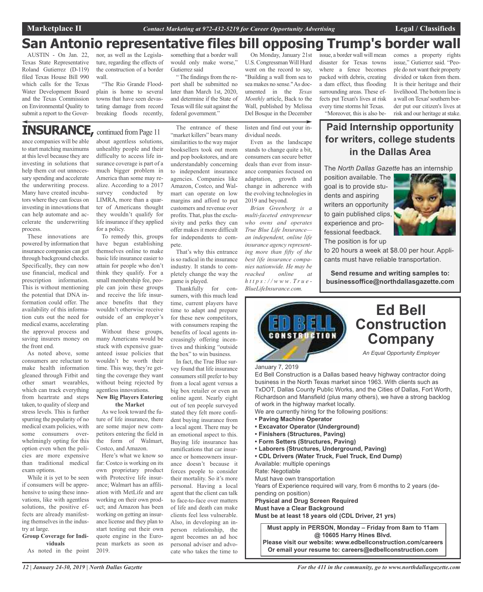### **San Antonio representative files bill opposing Trump's border wall**

AUSTIN - On Jan. 22, Texas State Representative Roland Gutierrez (D-119) filed Texas House Bill 990 which calls for the Texas Water Development Board and the Texas Commission on Environmental Quality to submit a report to the Gover-

nor, as well as the Legislature, regarding the effects of the construction of a border wall.

"The Rio Grande Floodplain is home to several towns that have seen devastating damage from record breaking floods recently,

### **INSURANCE, continued from Page 11**

ance companies will be able to start matching maximums at this level because they are investing in solutions that help them cut out unnecessary spending and accelerate the underwriting process. Many have created incubators where they can focus on investing in innovations that can help automate and accelerate the underwriting process.

These innovations are powered by information that insurance companies can get through background checks. Specifically, they can now use financial, medical and prescription information. This is without mentioning the potential that DNA information could offer. The availability of this information cuts out the need for medical exams, accelerating the approval process and saving insurers money on the front end.

As noted above, some consumers are reluctant to make health information gleaned through Fitbit and other smart wearables, which can track everything from heartrate and steps taken, to quality of sleep and stress levels. This is further spurring the popularity of no medical exam policies, with some consumers overwhelmingly opting for this option even when the policies are more expensive than traditional medical exam options.

While it is yet to be seen if consumers will be apprehensive to using these innovations, like with agentless solutions, the positive effects are already manifesting themselves in the industry at large.

#### **Group Coverage for Individuals**

As noted in the point

about agentless solutions, unhealthy people and their difficulty to access life insurance coverage is part of a much bigger problem in America than some may realize. According to a 2017 survey conducted by LIMRA, more than a quarter of Americans thought they wouldn't qualify for life insurance if they applied for a policy.

To remedy this, groups have begun establishing themselves online to make basic life insurance easier to attain for people who don't think they qualify. For a small membership fee, people can join these groups and receive the life insurance benefits that they wouldn't otherwise receive outside of an employer's plan.

Without these groups, many Americans would be stuck with expensive guaranteed issue policies that wouldn't be worth their time. This way, they're getting the coverage they want without being rejected by agentless innovations.

#### **New Big Players Entering the Market**

As we look toward the future of life insurance, there are some major new competitors entering the field in the form of Walmart, Costco, and Amazon.

Here's what we know so far: Costco is working on its own proprietary product with Protective life insurance; Walmart has an affiliation with MetLife and are working on their own product; and Amazon has been working on getting an insurance license and they plan to start testing out their own quote engine in the European markets as soon as 2019.

The entrance of these "market killers" bears many similarities to the way major booksellers took out mom and pop bookstores, and are understandably concerning to independent insurance agencies. Companies like Amazon, Costco, and Walmart can operate on low margins and afford to put customers and revenue over profits. That, plus the exclusivity and perks they can offer makes it more difficult for independents to compete.

something that a border wall would only make worse,"

" The findings from the report shall be submitted no later than March 1st, 2020, and determine if the State of Texas will file suit against the federal government."

Gutierrez said

That's why this entrance is so radical in the insurance industry. It stands to completely change the way the game is played.

Thankfully for consumers, with this much lead time, current players have time to adapt and prepare for these new competitors, with consumers reaping the benefits of local agents increasingly offering incentives and thinking "outside the box" to win business.

In fact, the True Blue survey found that life insurance consumers still prefer to buy from a local agent versus a big box retailer or even an online agent. Nearly eight out of ten people surveyed stated they felt more confident buying insurance from a local agent. There may be an emotional aspect to this. Buying life insurance has ramifications that car insurance or homeowners insurance doesn't because it forces people to consider their mortality. So it's more personal. Having a local agent that the client can talk to face-to-face over matters of life and death can make clients feel less vulnerable. Also, in developing an inperson relationship, the agent becomes an ad hoc personal adviser and advocate who takes the time to

On Monday, January 21st U.S.CongressmanWill Hurd went on the record to say, "Building a wall from sea to sea makes no sense."As documented in the *Texas Monthly* article, Back to the Wall, published by Melissa Del Bosque in the December

listen and find out your individual needs.

Even as the landscape stands to change quite a bit, consumers can secure better deals than ever from insurance companies focused on adaptation, growth and change in adherence with the evolving technologies in 2019 and beyond.

*Brian Greenberg is a multi-faceted entrepreneur who owns and operates True Blue Life Insurance an independent, online life insurance agency representing more than fifty of the best life insurance companies nationwide. He may be reached online at h t t p s : / / w w w. T r u e - BlueLifeInsurance.com.*

issue, a border wall will mean disaster for Texas towns where a fence becomes packed with debris, creating a dam effect, thus flooding surrounding areas. These effects put Texan's lives at risk every time storms hit Texas. "Moreover, this is also be-

comes a property rights issue," Gutierrez said. "People do not want their property divided or taken from them. It is their heritage and their livelihood.The bottom line is a wall onTexas'southern border put our citizen's lives at risk and our heritage at stake.

### **Paid Internship opportunity for writers, college students in the Dallas Area**

The *North Dallas Gazette* has an internship

position available. The goal is to provide students and aspiring writers an opportunity to gain published clips, experience and professional feedback. The position is for up



to 20 hours a week at \$8.00 per hour. Applicants must have reliable transportation.

**Send resume and writing samples to: businessoffice@northdallasgazette.com**



#### January 7, 2019

Ed Bell Construction is a Dallas based heavy highway contractor doing business in the North Texas market since 1963. With clients such as TxDOT, Dallas County Public Works, and the Cities of Dallas, Fort Worth, Richardson and Mansfield (plus many others), we have a strong backlog of work in the highway market locally.

We are currently hiring for the following positions:

- **• Paving Machine Operator**
- **• Excavator Operator (Underground)**
- **• Finishers (Structures, Paving)**
- **• Form Setters (Structures, Paving)**
- **• Laborers (Structures, Underground, Paving)**
- **• CDL Drivers (Water Truck, Fuel Truck, End Dump)**
- Available: multiple openings

Rate: Negotiable Must have own transportation

Years of Experience required will vary, from 6 months to 2 years (depending on position)

**Physical and Drug Screen Required Must have a Clear Background**

**Must be at least 18 years old (CDL Driver, 21 yrs)**

**Must apply in PERSON, Monday – Friday from 8am to 11am @ 10605 Harry Hines Blvd. Please visit our website: www.edbellconstruction.com/careers Or email your resume to: careers@edbellconstruction.com**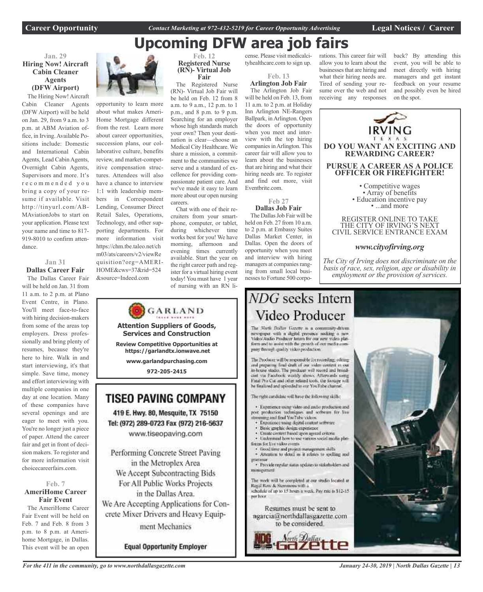**Career Opportunity** *Contact Marketing at 972-432-5219 for Career Opportunity Advertising* **Legal Notices / Career**

### rations. This career fair will **Upcoming DFW area job fairs**

#### **Jan. 29 Hiring Now! Aircraft Cabin Cleaner Agents (DFW Airport)**

The Hiring Now! Aircraft Cabin Cleaner Agents (DFW Airport) will be held on Jan. 29, from 9 a.m. to 3 p.m. at ABM Aviation office, in Irving. Available Positions include: Domestic and International Cabin Agents, Lead Cabin Agents, Overnight Cabin Agents, Supervisors and more. It's r e c o m m e n d e d y o u bring a copy of your resume if available. Visit http://tinyurl.com/AB-MAviationJobs to start on your application. Please text your name and time to 817- 919-8010 to confirm attendance.

#### **Jan 31 Dallas Career Fair**

The Dallas Career Fair will be held on Jan. 31 from 11 a.m. to 2 p.m. at Plano Event Centre, in Plano. You'll meet face-to-face with hiring decision-makers from some of the areas top employers. Dress professionally and bring plenty of resumes, because they're here to hire. Walk in and start interviewing, it's that simple. Save time, money and effort interviewing with multiple companies in one day at one location. Many of these companies have several openings and are eager to meet with you. You're no longer just a piece of paper. Attend the career fair and get in front of decision makers. To register and for more information visit choicecareerfairs.com.

#### **Feb. 7 AmeriHome Career Fair Event**

The AmeriHome Career Fair Event will be held on Feb. 7 and Feb. 8 from 3 p.m. to 8 p.m. at Amerihome Mortgage, in Dallas. This event will be an open



opportunity to learn more about what makes Ameri-Home Mortgage different from the rest. Learn more about career opportunities, succession plans, our collaborative culture, benefits review, and market-competitive compensation structures. Attendees will also have a chance to interview 1:1 with leadership members in Correspondent Lending, Consumer Direct Retail Sales, Operations, Technology, and other supporting departments. For more information visit https://chm.tbe.taleo.net/ch m03/ats/careers/v2/viewRe quisition?org=AMERI-HOME&cws=37&rid=524 &source=Indeed.com

#### **Feb. 12 Registered Nurse (RN)- Virtual Job Fair**

The Registered Nurse (RN)- Virtual Job Fair will be held on Feb. 12 from 8 a.m. to 9 a.m., 12 p.m. to 1 p.m., and 8 p.m. to 9 p.m. Searching for an employer whose high standards match your own? Then your destination is clear—choose an Medical City Healthcare. We share a mission, a commitment to the communities we serve and a standard of excellence for providing compassionate patient care. And we've made it easy to learn more about our open nursing careers.

Chat with one of their recruiters from your smartphone, computer, or tablet, during whichever time works best for you! We have morning, afternoon and evening times currently available. Start the year on the right career path and register for a virtual hiring event today!You must have 1 year of nursing with an RN li-

**Attention Suppliers of Goods, Services and Construction Review Competitive Opportunities at https://garlandtx.ionwave.net www.garlandpurchasing.com 972-205-2415**

**TISEO PAVING COMPANY** 

419 E. Hwy. 80, Mesquite, TX 75150

Tel: (972) 289-0723 Fax (972) 216-5637

www.tiseopaving.com

Performing Concrete Street Paving

in the Metroplex Area

We Accept Subcontracting Bids

For All Public Works Projects

in the Dallas Area.

We Are Accepting Applications for Con-

crete Mixer Drivers and Heavy Equip-

ment Mechanics

**Equal Opportunity Employer** 

GARLAND

cense. Please visit medicalcityhealthcare.com to sign up.

**Feb. 13**

**Arlington Job Fair** The Arlington Job Fair will be held on Feb. 13, from 11 a.m. to 2 p.m. at Holiday Inn Arlington NE-Rangers Ballpark, inArlington. Open the doors of opportunity when you meet and interview with the top hiring companies in Arlington. This career fair will allow you to learn about the businesses that are hiring and what their hiring needs are. To register and find out more, visit Eventbrite.com.

> **Feb 27 Dallas Job Fair**

The Dallas Job Fair will be held on Feb. 27 from 10 a.m. to 2 p.m. at Embassy Suites Dallas Market Center, in Dallas. Open the doors of opportunity when you meet and interview with hiring managers at companies ranging from small local businessesto Fortune 500 corpoallow you to learn about the businesses that are hiring and what their hiring needs are. Tired of sending your resume over the web and not receiving any responses

back? By attending this event, you will be able to meet directly with hiring managers and get instant feedback on your resume and possibly even be hired on the spot.



The radii cardidate will have the following skills;

· Experience wang video and millio production and post production techniques and software for live mg and find YouTube videos.

- Experience using disital content settwire
- Basic graphic design experience

pany through quality video production.

- Create circlest hased upon agreed criteria
- Understand how to use various social media platforces for live video events.
- · froad time and project management shills \* Attention to detail as it relates to spelling and
- · Provide regular status updates to stakeholders and minagement

The work will be completed at our studio located at Regal Row & Stemmons with a schedule of up to 15 hours a week. Pay rate is \$12-15. ner hoor.

Resumes must be sent to ngarcia@northdallasgazette.com





*For the 411 in the community, go to www.northdallasgazette.com*

*January 24-30, 2019 | North Dallas Gazette | 13*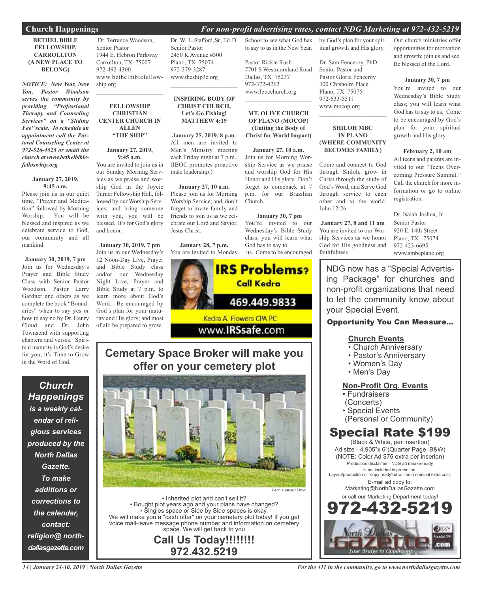#### **Church Happenings** *For non-profit advertising rates, contact NDG Marketing at 972-432-5219*

#### **BETHEL BIBLE FELLOWSHIP, CARROLLTON (A NEW PLACE TO BELONG)**

*NOTICE: New Year, New You, Pastor Woodson serves the community by providing "Professional Therapy and Counseling Services" on a "Sliding Fee" scale. To schedule an appointment call the Pastoral Counseling Center at 972-526-4525 or email the church at www.bethelbiblefelloswhip.org*

#### **January 27, 2019, 9:45 a.m.**

Please join us in our quiet time, "Prayer and Meditation" followed by Morning Worship. You will be blessed and inspired as we celebrate service to God, our community and all mankind.

**January 30, 2019, 7 pm** Join us for Wednesday's Prayer and Bible Study Class with Senior Pastor Woodson, Pastor Larry Gardner and others as we complete the book "Boundaries" when to say yes or how to say no by Dr. Henry Cloud and Dr. John Townsend with supporting chapters and verses. Spiritual maturity is God's desire for you; it's Time to Grow in the Word of God.

*Church Happenings is a weekly calendar of religious services produced by the North Dallas Gazette. To make additions or corrections to the calendar, contact: religion@ northdallasgazette.com*

Dr. Terrance Woodson, Senior Pastor 1944 E. Hebron Parkway Carrollton, TX 75007 972-492-4300 www.bethelbiblefellowship.org

#### **FELLOWSHIP CHRISTIAN CENTER CHURCH IN ALLEN "THE SHIP"**

 $\overline{\phantom{a}}$  , and the set of the set of the set of the set of the set of the set of the set of the set of the set of the set of the set of the set of the set of the set of the set of the set of the set of the set of the s

#### **January 27, 2019, 9:45 a.m.**

You are invited to join us in our Sunday Morning Services as we praise and worship God in the Joycie Turner Fellowship Hall, followed by our Worship Services; and bring someone with you, you will be blessed. It's for God's glory and honor.

**January 30, 2019, 7 pm** Join us in our Wednesday's 12 Noon-Day Live, Prayer and Bible Study class and/or our Wednesday Night Live, Prayer and Bible Study at 7 p.m. to learn more about God's Word. Be encouraged by God's plan for your maturity and His glory; and most of all; be prepared to grow.

Dr. W. L. Stafford, Sr.,Ed. D. Senior Pastor 2450 K Avenue #300 Plano, TX 75074 972-379-3287 www.theship3c.org  $\overline{\phantom{a}}$  , and the set of the set of the set of the set of the set of the set of the set of the set of the set of the set of the set of the set of the set of the set of the set of the set of the set of the set of the s

#### **INSPIRING BODY OF CHRIST CHURCH, Let's Go Fishing! MATTHEW 4:19**

**January 25, 2019, 8 p.m.** All men are invited to Men's Ministry meeting each Friday night at 7 p.m., (IBOC promotes proactive male leadership.)

**January 27, 10 a.m.** Please join us for Morning Worship Service; and, don't forget to invite family and friends to join us as we celebrate our Lord and Savior, Jesus Christ.

**January 28, 7 p.m.** You are invited to Monday



Church.

**Cemetary Space Broker will make you offer on your cemetery plot**



• Inherited plot and can't sell it? • Bought plot years ago and your plans have changed? • Singles space or Side by Side spaces is okay. We will make you a "cash offer" on your cemetery plot today! If you get voice mail-leave message phone number and information on cemetery space. We will get back to you

**Call Us Today!!!!!!!! 972.432.5219**

by God's plan for your spiritual growth and His glory.

School to see what God has to say to us in the New Year.

7701 S Westmoreland Road

**MT. OLIVE CHURCH OF PLANO (MOCOP) (Uniting the Body of Christ for World Impact)**

**January 27, 10 a.m.** Join us for Morning Worship Service as we praise and worship God for His Honor and His glory. Don't forget to comeback at 7 p.m. for our Brazilian

**January 30, 7 pm** You're invited to our Wednesday's Bible Study class; you will learn what

God has to say to

Pastor Rickie Rush

Dallas, TX 75237 972-372-4262 www.Ibocchurch.org  $\mathcal{L}$  , and the set of the set of the set of the set of the set of the set of the set of the set of the set of the set of the set of the set of the set of the set of the set of the set of the set of the set of the set Dr. Sam Fenceroy, PhD Senior Pastor and Pastor Gloria Fenceroy 300 Chisholm Place Plano, TX 75075 972-633-5511 www.mocop.org

#### **SHILOH MBC IN PLANO (WHERE COMMUNITY BECOMES FAMILY)**

 $\mathcal{L}_\text{max}$  , which is a set of the set of the set of the set of the set of the set of the set of the set of the set of the set of the set of the set of the set of the set of the set of the set of the set of the set of

Come and connect to God through Shiloh; grow in Christ through the study of God's Word; and Serve God through service to each other and to the world. John 12:26.

**January 27, 8 and 11 am** You are invited to our Worship Services as we honor God for His goodness and faithfulness

Our church ministries offer opportunities for motivation and growth; join us and see. Be blessed of the Lord.

#### **January 30, 7 pm**

You're invited to our Wednesday's Bible Study class; you will learn what God has to say to us. Come to be encouraged by God's plan for your spiritual growth and His glory.

#### **February 2, 10 am**

All teens and parents are invited to our "Teens Overcoming Pressure Summit." Call the church for more information or go to online registration.

Dr. Isaiah Joshua, Jr. Senior Pastor 920 E. 14th Street Plano, TX 75074 972-423-6695 www.smbcplano.org

NDG now has a "Special Advertising Package" for churches and non-profit organizations that need to let the community know about your Special Event.

### Opportunity You Can Measure...

### **Church Events**

- Church Anniversary
- Pastor's Anniversary
- Women's Day
- Men's Day

### **Non-Profit Org. Events**

- Fundraisers
- (Concerts)
- Special Events
- (Personal or Community)

# Special Rate \$199

(Black & White, per insertion) Ad size - 4.905"x 6"(Quarter Page, B&W) (NOTE: Color Ad \$75 extra per inserion) Production disclaimer - NDG ad meake-ready is not included in promotion. Layout/production of "copy ready"ad will be a nominal extra cost. E-mail ad copy to: Marketing@NorthDallasGazette.com or call our Marketing Department today!

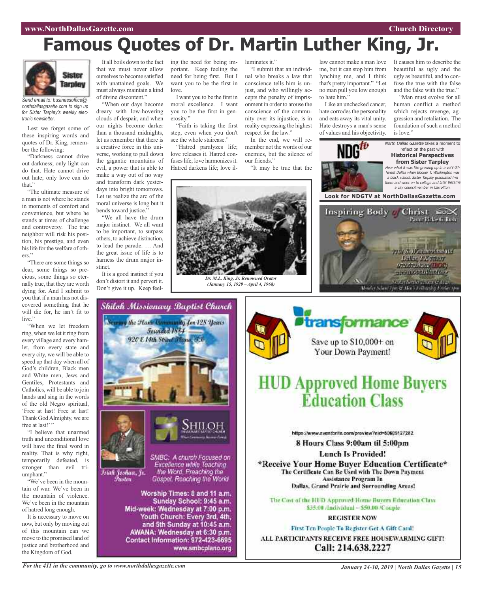# **Famous Quotes of Dr. Martin Luther King, Jr.**

*Dr. M.L. King, Jr. Renowned Orator (January 15, 1929 – April 4, 1968)*



*Send email to: businessoffice@ northdallasgazette.com to sign up for Sister Tarpley's weekly electronic newsletter.*

Lest we forget some of these inspiring words and quotes of Dr. King, remember the following:

"Darkness cannot drive out darkness; only light can do that. Hate cannot drive out hate; only love can do that."

"The ultimate measure of a man is not where he stands in moments of comfort and convenience, but where he stands at times of challenge and controversy. The true neighbor will risk his position, his prestige, and even his life for the welfare of others."

"There are some things so dear, some things so precious, some things so eternally true, that they are worth dying for. And I submit to you that if a man has not discovered something that he will die for, he isn't fit to live."

"When we let freedom ring, when we let it ring from every village and every hamlet, from every state and every city, we will be able to speed up that day when all of God's children, Black men and White men, Jews and Gentiles, Protestants and Catholics, will be able to join hands and sing in the words of the old Negro spiritual, 'Free at last! Free at last! Thank GodAlmighty, we are free at last!"

"I believe that unarmed truth and unconditional love will have the final word in reality. That is why right, temporarily defeated, is stronger than evil triumphant."

"We've been in the mountain of war. We've been in the mountain of violence. We've been in the mountain of hatred long enough.

It is necessary to move on now, but only by moving out of this mountain can we move to the promised land of justice and brotherhood and the Kingdom of God.

It all boils down to the fact that we must never allow ourselves to become satisfied with unattained goals. We must always maintain a kind of divine discontent."

"When our days become dreary with low-hovering clouds of despair, and when our nights become darker than a thousand midnights, let us remember that there is a creative force in this universe, working to pull down the gigantic mountains of evil, a power that is able to make a way out of no way and transform dark yesterdays into bright tomorrows. Let us realize the arc of the moral universe is long but it bends toward justice.'

"We all have the drum major instinct. We all want to be important, to surpass others, to achieve distinction, to lead the parade. … And the great issue of life is to harness the drum major instinct.

It is a good instinct if you don't distort it and pervert it. Don't give it up. Keep feeling the need for being important. Keep feeling the need for being first. But I want you to be the first in love.

I want you to be the first in moral excellence. I want you to be the first in generosity."

"Faith is taking the first step, even when you don't see the whole staircase."

"Hatred paralyzes life; love releases it. Hatred confuses life; love harmonizes it. Hatred darkens life; love illuminates it."

"I submit that an individual who breaks a law that conscience tells him is unjust, and who willingly accepts the penalty of imprisonment in order to arouse the conscience of the community over its injustice, is in reality expressing the highest respect for the law." In the end, we will re-

member not the words of our enemies, but the silence of our friends."

"It may be true that the



hate corrodes the personality and eats away its vital unity. Hate destroys a man's sense of values and his objectivity.

law cannot make a man love It causes him to describe the beautiful as ugly and the ugly as beautiful, and to confuse the true with the false and the false with the true."

"Man must evolve for all human conflict a method which rejects revenge, aggression and retaliation. The foundation of such a method is love."



what it was like growing up in a very different Dallas when Booker T. Washington was <sup>a</sup> black school. Sister Tarpley graduated frm there and went on to college and later became <sup>a</sup> city councilmember in Carrollton.







# **HUD Approved Home Buyers Éducation Class**

https://www.aventbrite.com/preview?eid=80609127282

8 Hours Class 9:00am til 5:00pm

**Lunch Is Provided!** 

\*Receive Your Home Buver Education Certificate\* The Certificate Can Be Used with The Down Payment Assistance Program In Dallas, Grand Prairie and Surrounding Areas!

The Cost of the HUD Approved Home Buyers Education Class \$35.00 /Individual ~ \$50.00 /Couple.

#### **REGISTER NOW**

First Ten People To Register Get A Gift Card! ALL PARTICIPANTS RECEIVE FREE HOUSEWARMING GIFT! Call: 214.638.2227

*For the 411 in the community, go to www.northdallasgazette.com*

*January 24-30, 2019 | North Dallas Gazette | 15*